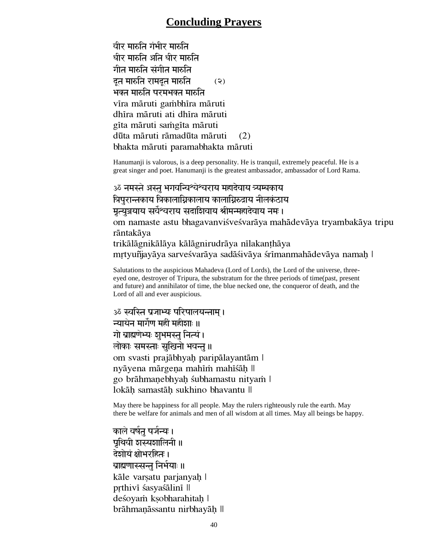## **Concluding Prayers**

घीर मारुति गंभीर मारुति धीर मारुति अति धीर मारुति गीत मारुति संगीत मारुति दूत मारुति रामदूत मारुति  $\qquad$  (२) भक्त मारुति परमभक्त मारुति vīra māruti gambhīra māruti dhīra māruti ati dhīra māruti gīta māruti samgīta māruti dūta māruti rāmadūta māruti (2) bhakta māruti paramabhakta māruti

Hanumanji is valorous, is a deep personality. He is tranquil, extremely peaceful. He is a great singer and poet. Hanumanji is the greatest ambassador, ambassador of Lord Rama.

ॐ नमस्ते अस्तु भगवन्विश्वेश्वराय महादेवाय त्र्यम्बकाय श्रिपुरान्तकाय त्रिकालाग्निकालाय कालाग्निरुद्राय नीलकंठाय मृत्युञ्जयाय सर्वेश्वराय सदाशिवाय श्रीमन्महादेवाय नमः । om namaste astu bhagavanviśveśvarāya mahādevāya tryambakāya tripu rāntakāya trikālāgnikālāya kālāgnirudrāya nīlakanthāya mrtyuñjayāya sarveśvarāya sadāśivāya śrīmanmahādevāya namaḥ |

Salutations to the auspicious Mahadeva (Lord of Lords), the Lord of the universe, threeeyed one, destroyer of Tripura, the substratum for the three periods of time(past, present and future) and annihilator of time, the blue necked one, the conqueror of death, and the Lord of all and ever auspicious.

ॐ स्वस्ति प्रजाभ्यः परिपालयन्ताम् । न्यायेन मार्गेण महीं महीशाः ॥ गो ब्राह्मणेभ्यः श्रुभमस्तु नित्यं । लोकाः समस्ताः सुखिनो भवन्तु ॥ om svasti prajābhyah paripālayantām | nyāyena mārgeņa mahīm mahīsāh || go brāhmanebhyah śubhamastu nityam l lokāh samastāh sukhino bhavantu∥

May there be happiness for all people. May the rulers righteously rule the earth. May there be welfare for animals and men of all wisdom at all times. May all beings be happy.

काले वर्षत पर्जन्यः । प्रथिवी शस्यशालिनी ॥ देशोयं क्षोभरहितः । ब्राह्मणास्सन्त निर्भयाः ॥ kāle varsatu parjanyah | prthivī śasyaśālinī || deśoyam ksobharahitah | brāhmanāssantu nirbhayāḥ II